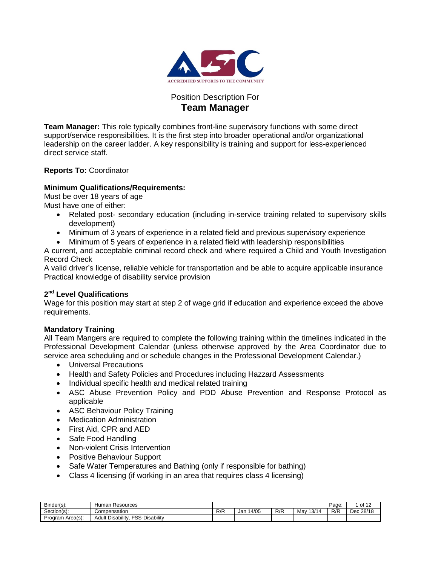

# Position Description For **Team Manager**

**Team Manager:** This role typically combines front-line supervisory functions with some direct support/service responsibilities. It is the first step into broader operational and/or organizational leadership on the career ladder. A key responsibility is training and support for less-experienced direct service staff.

# **Reports To:** Coordinator

# **Minimum Qualifications/Requirements:**

Must be over 18 years of age

Must have one of either:

- Related post- secondary education (including in-service training related to supervisory skills development)
- Minimum of 3 years of experience in a related field and previous supervisory experience
- Minimum of 5 years of experience in a related field with leadership responsibilities

A current, and acceptable criminal record check and where required a Child and Youth Investigation Record Check

A valid driver's license, reliable vehicle for transportation and be able to acquire applicable insurance Practical knowledge of disability service provision

## **2nd Level Qualifications**

Wage for this position may start at step 2 of wage grid if education and experience exceed the above requirements.

# **Mandatory Training**

All Team Mangers are required to complete the following training within the timelines indicated in the Professional Development Calendar (unless otherwise approved by the Area Coordinator due to service area scheduling and or schedule changes in the Professional Development Calendar.)

- Universal Precautions
- Health and Safety Policies and Procedures including Hazzard Assessments
- Individual specific health and medical related training
- ASC Abuse Prevention Policy and PDD Abuse Prevention and Response Protocol as applicable
- ASC Behaviour Policy Training
- Medication Administration
- First Aid, CPR and AED
- Safe Food Handling
- Non-violent Crisis Intervention
- Positive Behaviour Support
- Safe Water Temperatures and Bathing (only if responsible for bathing)
- Class 4 licensing (if working in an area that requires class 4 licensing)

| Binder(s):          | Resources<br>Human                                      |     |             |     |              | Page: | $1$ of $1^{\circ}$ |
|---------------------|---------------------------------------------------------|-----|-------------|-----|--------------|-------|--------------------|
| ~<br>Section(s):    | Compensation                                            | R/R | 4/05<br>Jar | R/R | 13/14<br>Mav | R/R   | 28/18<br>Dec       |
| Area(s):<br>Program | -Disability<br><b>CCC.</b><br>Disability<br>Adult<br>ںں |     |             |     |              |       |                    |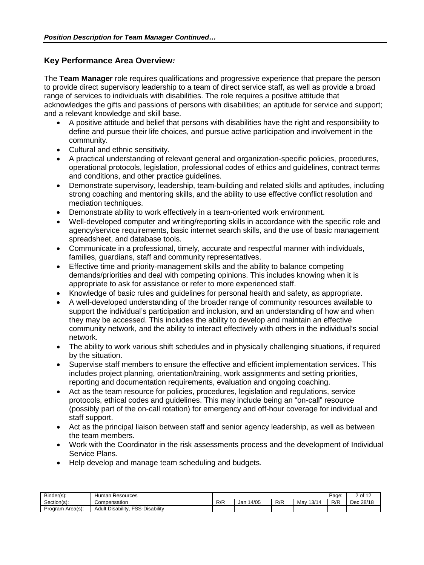# **Key Performance Area Overview***:*

The **Team Manager** role requires qualifications and progressive experience that prepare the person to provide direct supervisory leadership to a team of direct service staff, as well as provide a broad range of services to individuals with disabilities. The role requires a positive attitude that acknowledges the gifts and passions of persons with disabilities; an aptitude for service and support; and a relevant knowledge and skill base.

- A positive attitude and belief that persons with disabilities have the right and responsibility to define and pursue their life choices, and pursue active participation and involvement in the community.
- Cultural and ethnic sensitivity.
- A practical understanding of relevant general and organization-specific policies, procedures, operational protocols, legislation, professional codes of ethics and guidelines, contract terms and conditions, and other practice guidelines.
- Demonstrate supervisory, leadership, team-building and related skills and aptitudes, including strong coaching and mentoring skills, and the ability to use effective conflict resolution and mediation techniques.
- Demonstrate ability to work effectively in a team-oriented work environment.
- Well-developed computer and writing/reporting skills in accordance with the specific role and agency/service requirements, basic internet search skills, and the use of basic management spreadsheet, and database tools.
- Communicate in a professional, timely, accurate and respectful manner with individuals, families, guardians, staff and community representatives.
- Effective time and priority-management skills and the ability to balance competing demands/priorities and deal with competing opinions. This includes knowing when it is appropriate to ask for assistance or refer to more experienced staff.
- Knowledge of basic rules and guidelines for personal health and safety, as appropriate.
- A well-developed understanding of the broader range of community resources available to support the individual's participation and inclusion, and an understanding of how and when they may be accessed. This includes the ability to develop and maintain an effective community network, and the ability to interact effectively with others in the individual's social network.
- The ability to work various shift schedules and in physically challenging situations, if required by the situation.
- Supervise staff members to ensure the effective and efficient implementation services. This includes project planning, orientation/training, work assignments and setting priorities, reporting and documentation requirements, evaluation and ongoing coaching.
- Act as the team resource for policies, procedures, legislation and regulations, service protocols, ethical codes and guidelines. This may include being an "on-call" resource (possibly part of the on-call rotation) for emergency and off-hour coverage for individual and staff support.
- Act as the principal liaison between staff and senior agency leadership, as well as between the team members.
- Work with the Coordinator in the risk assessments process and the development of Individual Service Plans.
- Help develop and manage team scheduling and budgets.

| Binder(s):       | Resources<br>Humar                                 |     |               |     |              | Page: | 2 of 12      |
|------------------|----------------------------------------------------|-----|---------------|-----|--------------|-------|--------------|
| Section(s):      | Compensation                                       | R/R | i 4/05<br>Jar | R/R | 13/14<br>May | R/R   | 28/18<br>Dec |
| Program Area(s): | -Disability<br>Disability<br><b>FSS-L</b><br>Adult |     |               |     |              |       |              |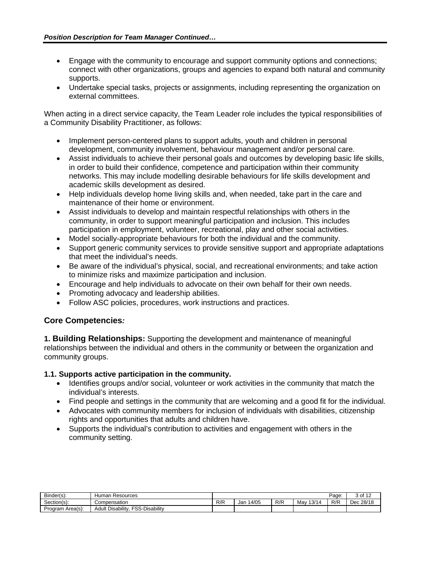- Engage with the community to encourage and support community options and connections: connect with other organizations, groups and agencies to expand both natural and community supports.
- Undertake special tasks, projects or assignments, including representing the organization on external committees.

When acting in a direct service capacity, the Team Leader role includes the typical responsibilities of a Community Disability Practitioner, as follows:

- Implement person-centered plans to support adults, youth and children in personal development, community involvement, behaviour management and/or personal care.
- Assist individuals to achieve their personal goals and outcomes by developing basic life skills, in order to build their confidence, competence and participation within their community networks. This may include modelling desirable behaviours for life skills development and academic skills development as desired.
- Help individuals develop home living skills and, when needed, take part in the care and maintenance of their home or environment.
- Assist individuals to develop and maintain respectful relationships with others in the community, in order to support meaningful participation and inclusion. This includes participation in employment, volunteer, recreational, play and other social activities.
- Model socially-appropriate behaviours for both the individual and the community.
- Support generic community services to provide sensitive support and appropriate adaptations that meet the individual's needs.
- Be aware of the individual's physical, social, and recreational environments; and take action to minimize risks and maximize participation and inclusion.
- Encourage and help individuals to advocate on their own behalf for their own needs.
- Promoting advocacy and leadership abilities.
- Follow ASC policies, procedures, work instructions and practices.

# **Core Competencies***:*

**1. Building Relationships:** Supporting the development and maintenance of meaningful relationships between the individual and others in the community or between the organization and community groups.

# **1.1. Supports active participation in the community.**

- Identifies groups and/or social, volunteer or work activities in the community that match the individual's interests.
- Find people and settings in the community that are welcoming and a good fit for the individual.
- Advocates with community members for inclusion of individuals with disabilities, citizenship rights and opportunities that adults and children have.
- Supports the individual's contribution to activities and engagement with others in the community setting.

| Binder(s):       | Humar<br>Resources                                       |     |              |     |                           | Page: | 3 of 12        |
|------------------|----------------------------------------------------------|-----|--------------|-----|---------------------------|-------|----------------|
| Section(s):      | Compensation                                             | R/R | 14/05<br>Jan | R/R | .40111<br>Mav<br>14<br>رۍ | R/R   | : 28/18<br>Dec |
| Program Area(s): | FSS-L<br><b>Disability</b><br><b>Disability</b><br>Adult |     |              |     |                           |       |                |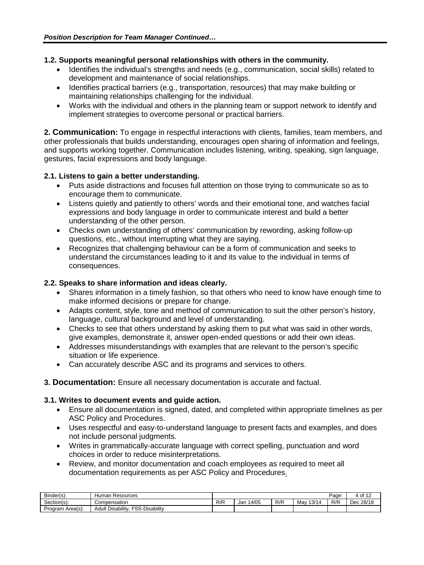### **1.2. Supports meaningful personal relationships with others in the community.**

- Identifies the individual's strengths and needs (e.g., communication, social skills) related to development and maintenance of social relationships.
- Identifies practical barriers (e.g., transportation, resources) that may make building or maintaining relationships challenging for the individual.
- Works with the individual and others in the planning team or support network to identify and implement strategies to overcome personal or practical barriers.

**2. Communication:** To engage in respectful interactions with clients, families, team members, and other professionals that builds understanding, encourages open sharing of information and feelings, and supports working together. Communication includes listening, writing, speaking, sign language, gestures, facial expressions and body language.

## **2.1. Listens to gain a better understanding.**

- Puts aside distractions and focuses full attention on those trying to communicate so as to encourage them to communicate.
- Listens quietly and patiently to others' words and their emotional tone, and watches facial expressions and body language in order to communicate interest and build a better understanding of the other person.
- Checks own understanding of others' communication by rewording, asking follow-up questions, etc., without interrupting what they are saying.
- Recognizes that challenging behaviour can be a form of communication and seeks to understand the circumstances leading to it and its value to the individual in terms of consequences.

## **2.2. Speaks to share information and ideas clearly.**

- Shares information in a timely fashion, so that others who need to know have enough time to make informed decisions or prepare for change.
- Adapts content, style, tone and method of communication to suit the other person's history, language, cultural background and level of understanding.
- Checks to see that others understand by asking them to put what was said in other words, give examples, demonstrate it, answer open-ended questions or add their own ideas.
- Addresses misunderstandings with examples that are relevant to the person's specific situation or life experience.
- Can accurately describe ASC and its programs and services to others.

**3. Documentation:** Ensure all necessary documentation is accurate and factual.

#### **3.1. Writes to document events and guide action.**

- Ensure all documentation is signed, dated, and completed within appropriate timelines as per ASC Policy and Procedures.
- Uses respectful and easy-to-understand language to present facts and examples, and does not include personal judgments.
- Writes in grammatically-accurate language with correct spelling, punctuation and word choices in order to reduce misinterpretations.
- Review, and monitor documentation and coach employees as required to meet all documentation requirements as per ASC Policy and Procedures.

| $\sim$<br>Binder(s): | Resources<br>'man<br>וטד                         |     |             |     |              | Page: | $+$ of 1 <sup><math>\degree</math></sup> |
|----------------------|--------------------------------------------------|-----|-------------|-----|--------------|-------|------------------------------------------|
| Section(s):          | Compensation                                     | R/R | 4/05<br>Jar | R/R | 13/14<br>Mav | R/R   | 28/18 ز<br>ה ה<br>Dec                    |
| Program Area(s):     | <b>Disability</b><br>FSS-<br>Disability<br>Adult |     |             |     |              |       |                                          |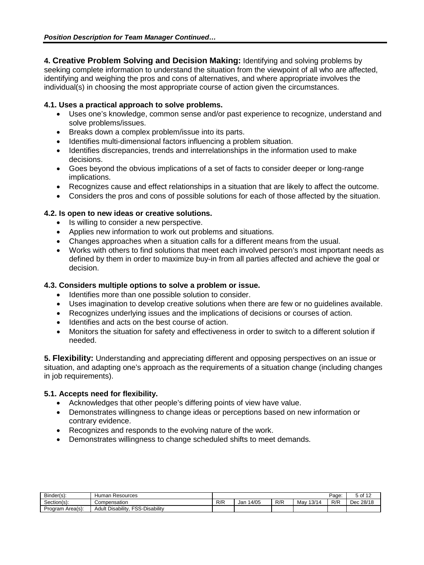**4. Creative Problem Solving and Decision Making:** Identifying and solving problems by seeking complete information to understand the situation from the viewpoint of all who are affected, identifying and weighing the pros and cons of alternatives, and where appropriate involves the individual(s) in choosing the most appropriate course of action given the circumstances.

## **4.1. Uses a practical approach to solve problems.**

- Uses one's knowledge, common sense and/or past experience to recognize, understand and solve problems/issues.
- Breaks down a complex problem/issue into its parts.
- Identifies multi-dimensional factors influencing a problem situation.
- Identifies discrepancies, trends and interrelationships in the information used to make decisions.
- Goes beyond the obvious implications of a set of facts to consider deeper or long-range implications.
- Recognizes cause and effect relationships in a situation that are likely to affect the outcome.
- Considers the pros and cons of possible solutions for each of those affected by the situation.

## **4.2. Is open to new ideas or creative solutions.**

- Is willing to consider a new perspective.
- Applies new information to work out problems and situations.
- Changes approaches when a situation calls for a different means from the usual.
- Works with others to find solutions that meet each involved person's most important needs as defined by them in order to maximize buy-in from all parties affected and achieve the goal or decision.

### **4.3. Considers multiple options to solve a problem or issue.**

- Identifies more than one possible solution to consider.
- Uses imagination to develop creative solutions when there are few or no guidelines available.
- Recognizes underlying issues and the implications of decisions or courses of action.
- Identifies and acts on the best course of action.
- Monitors the situation for safety and effectiveness in order to switch to a different solution if needed.

**5. Flexibility:** Understanding and appreciating different and opposing perspectives on an issue or situation, and adapting one's approach as the requirements of a situation change (including changes in job requirements).

#### **5.1. Accepts need for flexibility.**

- Acknowledges that other people's differing points of view have value.
- Demonstrates willingness to change ideas or perceptions based on new information or contrary evidence.
- Recognizes and responds to the evolving nature of the work.
- Demonstrates willingness to change scheduled shifts to meet demands.

| $Binder(s)$ :    | Human<br>Resources                                 |           |              |     |              | Page: | ა of <sup>1</sup> ^   |
|------------------|----------------------------------------------------|-----------|--------------|-----|--------------|-------|-----------------------|
| Section(s):      | Compensation                                       | D/D<br>NN | 14/05<br>Jar | R/R | 13/14<br>Mav | R/R   | 28/18<br>- ההר<br>Dec |
| Program Area(s): | -Disability<br>FSS-.<br><b>Disability</b><br>Adult |           |              |     |              |       |                       |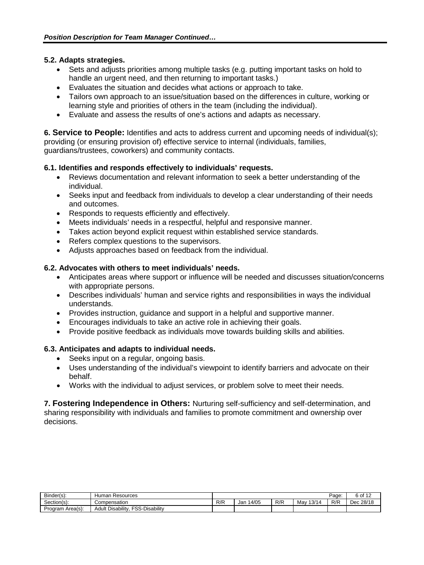### **5.2. Adapts strategies.**

- Sets and adjusts priorities among multiple tasks (e.g. putting important tasks on hold to handle an urgent need, and then returning to important tasks.)
- Evaluates the situation and decides what actions or approach to take.
- Tailors own approach to an issue/situation based on the differences in culture, working or learning style and priorities of others in the team (including the individual).
- Evaluate and assess the results of one's actions and adapts as necessary.

**6. Service to People:** Identifies and acts to address current and upcoming needs of individual(s); providing (or ensuring provision of) effective service to internal (individuals, families, guardians/trustees, coworkers) and community contacts.

## **6.1. Identifies and responds effectively to individuals' requests.**

- Reviews documentation and relevant information to seek a better understanding of the individual.
- Seeks input and feedback from individuals to develop a clear understanding of their needs and outcomes.
- Responds to requests efficiently and effectively.
- Meets individuals' needs in a respectful, helpful and responsive manner.
- Takes action beyond explicit request within established service standards.
- Refers complex questions to the supervisors.
- Adjusts approaches based on feedback from the individual.

#### **6.2. Advocates with others to meet individuals' needs.**

- Anticipates areas where support or influence will be needed and discusses situation/concerns with appropriate persons.
- Describes individuals' human and service rights and responsibilities in ways the individual understands.
- Provides instruction, guidance and support in a helpful and supportive manner.
- Encourages individuals to take an active role in achieving their goals.
- Provide positive feedback as individuals move towards building skills and abilities.

#### **6.3. Anticipates and adapts to individual needs.**

- Seeks input on a regular, ongoing basis.
- Uses understanding of the individual's viewpoint to identify barriers and advocate on their behalf.
- Works with the individual to adjust services, or problem solve to meet their needs.

**7. Fostering Independence in Others:** Nurturing self-sufficiency and self-determination, and sharing responsibility with individuals and families to promote commitment and ownership over decisions.

| Binder(s):          | Resources<br>Human                                 |     |              |     |              | Page: | o of <sup>1</sup> |
|---------------------|----------------------------------------------------|-----|--------------|-----|--------------|-------|-------------------|
| ~<br>Section(s):    | Compensation                                       | R/R | 14/05<br>Jan | R/R | 13/14<br>Mav | R/R   | 28/18 د<br>Dec    |
| Area(s):<br>Program | FSS-L<br>-Disability<br><b>Disability</b><br>Adult |     |              |     |              |       |                   |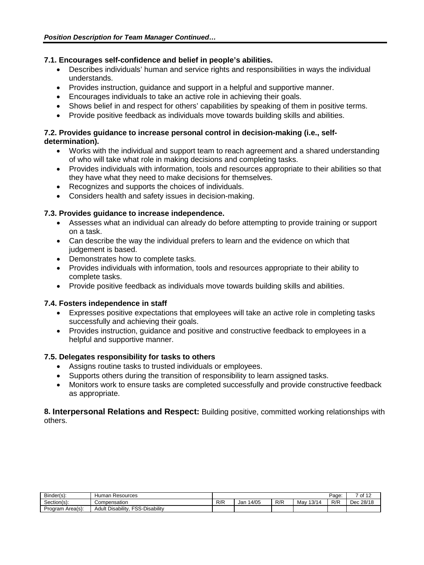### **7.1. Encourages self-confidence and belief in people's abilities.**

- Describes individuals' human and service rights and responsibilities in ways the individual understands.
- Provides instruction, guidance and support in a helpful and supportive manner.
- Encourages individuals to take an active role in achieving their goals.
- Shows belief in and respect for others' capabilities by speaking of them in positive terms.
- Provide positive feedback as individuals move towards building skills and abilities.

## **7.2. Provides guidance to increase personal control in decision-making (i.e., selfdetermination).**

- Works with the individual and support team to reach agreement and a shared understanding of who will take what role in making decisions and completing tasks.
- Provides individuals with information, tools and resources appropriate to their abilities so that they have what they need to make decisions for themselves.
- Recognizes and supports the choices of individuals.
- Considers health and safety issues in decision-making.

## **7.3. Provides guidance to increase independence.**

- Assesses what an individual can already do before attempting to provide training or support on a task.
- Can describe the way the individual prefers to learn and the evidence on which that judgement is based.
- Demonstrates how to complete tasks.
- Provides individuals with information, tools and resources appropriate to their ability to complete tasks.
- Provide positive feedback as individuals move towards building skills and abilities.

#### **7.4. Fosters independence in staff**

- Expresses positive expectations that employees will take an active role in completing tasks successfully and achieving their goals.
- Provides instruction, quidance and positive and constructive feedback to employees in a helpful and supportive manner.

#### **7.5. Delegates responsibility for tasks to others**

- Assigns routine tasks to trusted individuals or employees.
- Supports others during the transition of responsibility to learn assigned tasks.
- Monitors work to ensure tasks are completed successfully and provide constructive feedback as appropriate.

## **8. Interpersonal Relations and Respect:** Building positive, committed working relationships with others.

| Binder(s):          | Resources<br>tumar                                      |     |              |     |              | Page: | -<br>640<br>יש |
|---------------------|---------------------------------------------------------|-----|--------------|-----|--------------|-------|----------------|
| ~<br>Section(s):    | Compensation                                            | R/R | 14/05<br>Jan | R/R | 13/14<br>Mav | R/R   | : 28/18<br>Dec |
| Area(s):<br>Program | Disability<br><b>FOO</b><br>-Disability<br>Adult<br>১১- |     |              |     |              |       |                |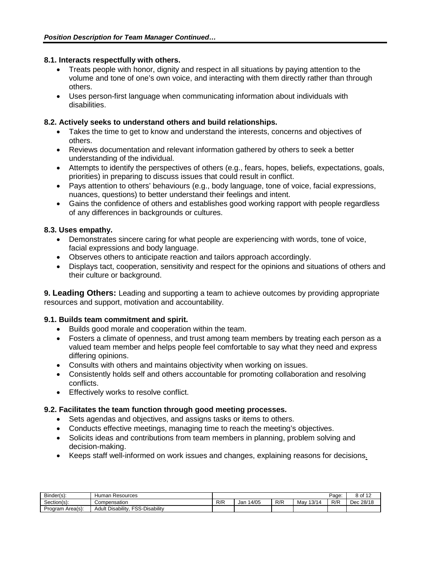### **8.1. Interacts respectfully with others.**

- Treats people with honor, dignity and respect in all situations by paying attention to the volume and tone of one's own voice, and interacting with them directly rather than through others.
- Uses person-first language when communicating information about individuals with disabilities.

## **8.2. Actively seeks to understand others and build relationships.**

- Takes the time to get to know and understand the interests, concerns and objectives of others.
- Reviews documentation and relevant information gathered by others to seek a better understanding of the individual.
- Attempts to identify the perspectives of others (e.g., fears, hopes, beliefs, expectations, goals, priorities) in preparing to discuss issues that could result in conflict.
- Pays attention to others' behaviours (e.g., body language, tone of voice, facial expressions, nuances, questions) to better understand their feelings and intent.
- Gains the confidence of others and establishes good working rapport with people regardless of any differences in backgrounds or cultures.

## **8.3. Uses empathy.**

- Demonstrates sincere caring for what people are experiencing with words, tone of voice, facial expressions and body language.
- Observes others to anticipate reaction and tailors approach accordingly.
- Displays tact, cooperation, sensitivity and respect for the opinions and situations of others and their culture or background.

**9. Leading Others:** Leading and supporting a team to achieve outcomes by providing appropriate resources and support, motivation and accountability.

#### **9.1. Builds team commitment and spirit.**

- Builds good morale and cooperation within the team.
- Fosters a climate of openness, and trust among team members by treating each person as a valued team member and helps people feel comfortable to say what they need and express differing opinions.
- Consults with others and maintains objectivity when working on issues.
- Consistently holds self and others accountable for promoting collaboration and resolving conflicts.
- Effectively works to resolve conflict.

# **9.2. Facilitates the team function through good meeting processes.**

- Sets agendas and objectives, and assigns tasks or items to others.
- Conducts effective meetings, managing time to reach the meeting's objectives.
- Solicits ideas and contributions from team members in planning, problem solving and decision-making.
- Keeps staff well-informed on work issues and changes, explaining reasons for decisions.

| $\sim$ :<br>Binder(s): | Human<br>Resources                                      |          |              |     |              | Page: | ം of <sup>1</sup>        |
|------------------------|---------------------------------------------------------|----------|--------------|-----|--------------|-------|--------------------------|
| Section(s):            | Compensation                                            | D/D<br>ᄿ | 14/05<br>Jar | R/R | 13/14<br>Mav | R/R   | 28/18<br>$\sim$<br>ื่∟⊌ะ |
| Program Area(s):       | -Disability<br>FSS-<br><b>Disability</b><br>Adult<br>ںں |          |              |     |              |       |                          |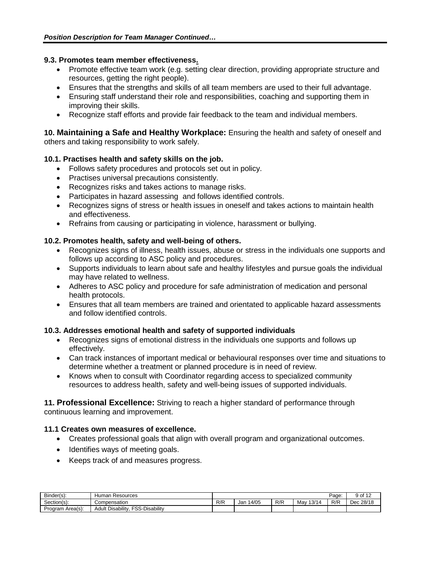#### **9.3. Promotes team member effectiveness.**

- Promote effective team work (e.g. setting clear direction, providing appropriate structure and resources, getting the right people).
- Ensures that the strengths and skills of all team members are used to their full advantage.
- Ensuring staff understand their role and responsibilities, coaching and supporting them in improving their skills.
- Recognize staff efforts and provide fair feedback to the team and individual members.

**10. Maintaining a Safe and Healthy Workplace:** Ensuring the health and safety of oneself and others and taking responsibility to work safely.

## **10.1. Practises health and safety skills on the job.**

- Follows safety procedures and protocols set out in policy.
- Practises universal precautions consistently.
- Recognizes risks and takes actions to manage risks.
- Participates in hazard assessing and follows identified controls.
- Recognizes signs of stress or health issues in oneself and takes actions to maintain health and effectiveness.
- Refrains from causing or participating in violence, harassment or bullying.

## **10.2. Promotes health, safety and well-being of others.**

- Recognizes signs of illness, health issues, abuse or stress in the individuals one supports and follows up according to ASC policy and procedures.
- Supports individuals to learn about safe and healthy lifestyles and pursue goals the individual may have related to wellness.
- Adheres to ASC policy and procedure for safe administration of medication and personal health protocols.
- Ensures that all team members are trained and orientated to applicable hazard assessments and follow identified controls.

#### **10.3. Addresses emotional health and safety of supported individuals**

- Recognizes signs of emotional distress in the individuals one supports and follows up effectively.
- Can track instances of important medical or behavioural responses over time and situations to determine whether a treatment or planned procedure is in need of review.
- Knows when to consult with Coordinator regarding access to specialized community resources to address health, safety and well-being issues of supported individuals.

**11. Professional Excellence:** Striving to reach a higher standard of performance through continuous learning and improvement.

#### **11.1 Creates own measures of excellence.**

- Creates professional goals that align with overall program and organizational outcomes.
- Identifies ways of meeting goals.
- Keeps track of and measures progress.

| $\sim$<br>Binder(s): | Human<br>Resources                                      |          |              |     |                | Paɑe | $\overline{a}$<br>of            |
|----------------------|---------------------------------------------------------|----------|--------------|-----|----------------|------|---------------------------------|
| Section(s):          | Compensation                                            | D/D<br>ᄿ | 14/05<br>Jar | R/R | 13/14<br>⊣∨lav | R/R  | 28/1۶ ز<br>$\sim$<br><b>DEL</b> |
| Program Area(s):     | -Disability<br>FSS.<br><b>Disability</b><br>Adult<br>ںں |          |              |     |                |      |                                 |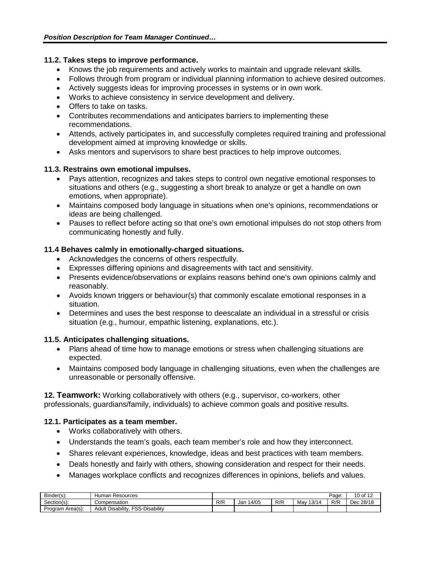# **11.2. Takes steps to improve performance.**

- Knows the job requirements and actively works to maintain and upgrade relevant skills.
- Follows through from program or individual planning information to achieve desired outcomes.
- Actively suggests ideas for improving processes in systems or in own work.
- Works to achieve consistency in service development and delivery.
- Offers to take on tasks.
- Contributes recommendations and anticipates barriers to implementing these recommendations.
- Attends, actively participates in, and successfully completes required training and professional development aimed at improving knowledge or skills.
- Asks mentors and supervisors to share best practices to help improve outcomes.

# **11.3. Restrains own emotional impulses.**

- Pays attention, recognizes and takes steps to control own negative emotional responses to situations and others (e.g., suggesting a short break to analyze or get a handle on own emotions, when appropriate).
- Maintains composed body language in situations when one's opinions, recommendations or ideas are being challenged.
- Pauses to reflect before acting so that one's own emotional impulses do not stop others from communicating honestly and fully.

# **11.4 Behaves calmly in emotionally-charged situations.**

- Acknowledges the concerns of others respectfully.
- Expresses differing opinions and disagreements with tact and sensitivity.
- Presents evidence/observations or explains reasons behind one's own opinions calmly and reasonably.
- Avoids known triggers or behaviour(s) that commonly escalate emotional responses in a situation.
- Determines and uses the best response to deescalate an individual in a stressful or crisis situation (e.g., humour, empathic listening, explanations, etc.).

# **11.5. Anticipates challenging situations.**

- Plans ahead of time how to manage emotions or stress when challenging situations are expected.
- Maintains composed body language in challenging situations, even when the challenges are unreasonable or personally offensive.

**12. Teamwork:** Working collaboratively with others (e.g., supervisor, co-workers, other professionals, guardians/family, individuals) to achieve common goals and positive results.

# **12.1. Participates as a team member.**

- Works collaboratively with others.
- Understands the team's goals, each team member's role and how they interconnect.
- Shares relevant experiences, knowledge, ideas and best practices with team members.
- Deals honestly and fairly with others, showing consideration and respect for their needs.
- Manages workplace conflicts and recognizes differences in opinions, beliefs and values.

| Binder(s):       | Resources<br>dumar                                 |     |             |     |              | Page: | 10 <sub>o</sub><br>640 |
|------------------|----------------------------------------------------|-----|-------------|-----|--------------|-------|------------------------|
| Section(s):      | Compensation                                       | R/R | 4/05<br>Jan | R/R | 13/14<br>Mav | R/R   | Dec 28/18              |
| Program Area(s): | -Disability<br>Disability<br>$\sim$<br>Adult<br>∼. |     |             |     |              |       |                        |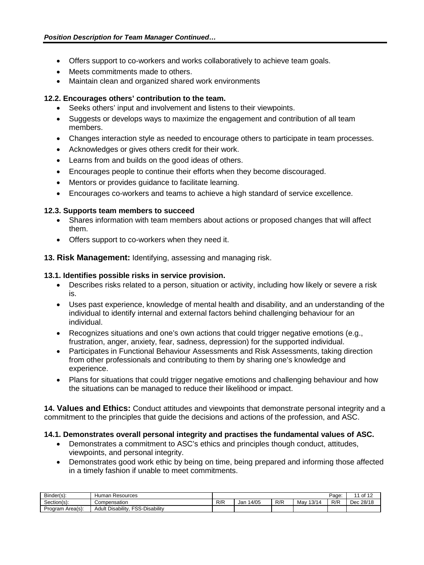- Offers support to co-workers and works collaboratively to achieve team goals.
- Meets commitments made to others.
- Maintain clean and organized shared work environments

# **12.2. Encourages others' contribution to the team.**

- Seeks others' input and involvement and listens to their viewpoints.
- Suggests or develops ways to maximize the engagement and contribution of all team members.
- Changes interaction style as needed to encourage others to participate in team processes.
- Acknowledges or gives others credit for their work.
- Learns from and builds on the good ideas of others.
- Encourages people to continue their efforts when they become discouraged.
- Mentors or provides guidance to facilitate learning.
- Encourages co-workers and teams to achieve a high standard of service excellence.

#### **12.3. Supports team members to succeed**

- Shares information with team members about actions or proposed changes that will affect them.
- Offers support to co-workers when they need it.
- **13. Risk Management:** Identifying, assessing and managing risk.

#### **13.1. Identifies possible risks in service provision.**

- Describes risks related to a person, situation or activity, including how likely or severe a risk is.
- Uses past experience, knowledge of mental health and disability, and an understanding of the individual to identify internal and external factors behind challenging behaviour for an individual.
- Recognizes situations and one's own actions that could trigger negative emotions (e.g., frustration, anger, anxiety, fear, sadness, depression) for the supported individual.
- Participates in Functional Behaviour Assessments and Risk Assessments, taking direction from other professionals and contributing to them by sharing one's knowledge and experience.
- Plans for situations that could trigger negative emotions and challenging behaviour and how the situations can be managed to reduce their likelihood or impact.

**14. Values and Ethics:** Conduct attitudes and viewpoints that demonstrate personal integrity and a commitment to the principles that guide the decisions and actions of the profession, and ASC.

# **14.1. Demonstrates overall personal integrity and practises the fundamental values of ASC.**

- Demonstrates a commitment to ASC's ethics and principles though conduct, attitudes, viewpoints, and personal integrity.
- Demonstrates good work ethic by being on time, being prepared and informing those affected in a timely fashion if unable to meet commitments.

| Binder(s):       | Resources<br>ıman<br>¬uъ                         |     |             |     |              | Page | 10 <sup>1</sup><br>$\overline{A}$ |
|------------------|--------------------------------------------------|-----|-------------|-----|--------------|------|-----------------------------------|
| Section(s):      | Compensation                                     | R/R | 4/05<br>Jar | R/R | 13/14<br>Mav | R/R  | 28/18 ز<br>- ההרי<br>Dec          |
| Program Area(s): | <b>Disability</b><br>FSS-<br>Disability<br>Adult |     |             |     |              |      |                                   |